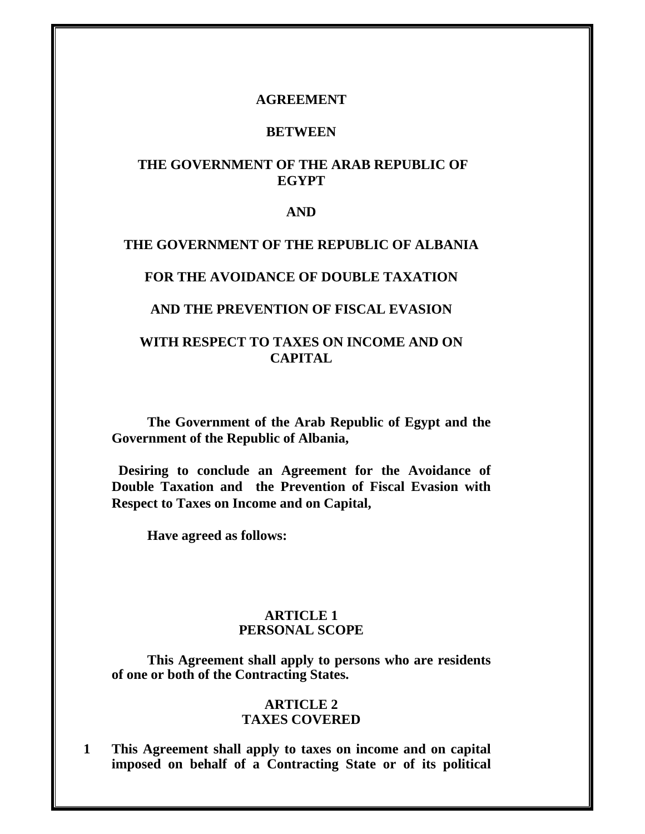#### **AGREEMENT**

#### **BETWEEN**

# **THE GOVERNMENT OF THE ARAB REPUBLIC OF EGYPT**

#### **AND**

## **THE GOVERNMENT OF THE REPUBLIC OF ALBANIA**

#### **FOR THE AVOIDANCE OF DOUBLE TAXATION**

#### **AND THE PREVENTION OF FISCAL EVASION**

## **WITH RESPECT TO TAXES ON INCOME AND ON CAPITAL**

 **The Government of the Arab Republic of Egypt and the Government of the Republic of Albania,** 

 **Desiring to conclude an Agreement for the Avoidance of Double Taxation and the Prevention of Fiscal Evasion with Respect to Taxes on Income and on Capital,** 

 **Have agreed as follows:** 

#### **ARTICLE 1 PERSONAL SCOPE**

 **This Agreement shall apply to persons who are residents of one or both of the Contracting States.** 

#### **ARTICLE 2 TAXES COVERED**

**1 This Agreement shall apply to taxes on income and on capital imposed on behalf of a Contracting State or of its political**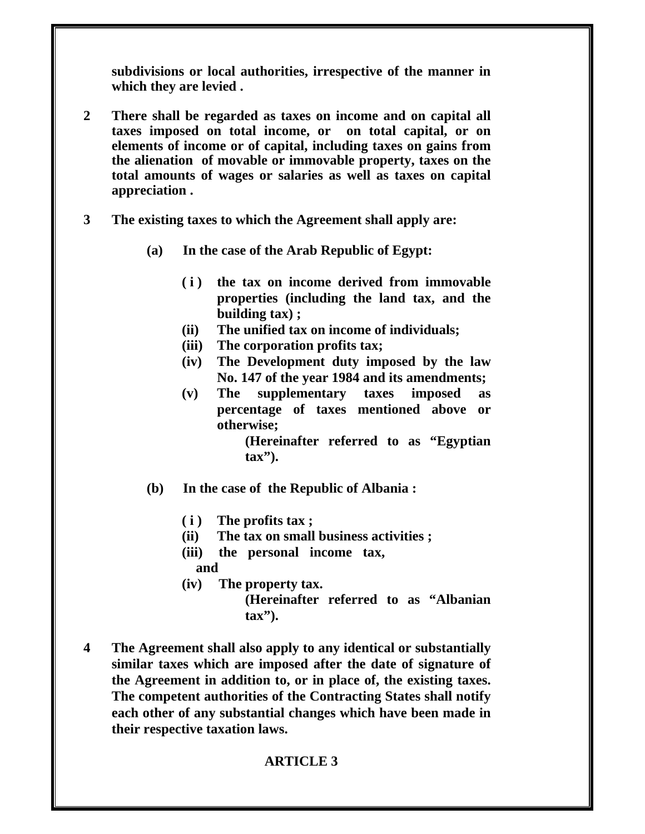**subdivisions or local authorities, irrespective of the manner in which they are levied .** 

- **2 There shall be regarded as taxes on income and on capital all taxes imposed on total income, or on total capital, or on elements of income or of capital, including taxes on gains from the alienation of movable or immovable property, taxes on the total amounts of wages or salaries as well as taxes on capital appreciation .**
- **3 The existing taxes to which the Agreement shall apply are:** 
	- **(a) In the case of the Arab Republic of Egypt:** 
		- **( i ) the tax on income derived from immovable properties (including the land tax, and the building tax) ;**
		- **(ii) The unified tax on income of individuals;**
		- **(iii) The corporation profits tax;**
		- **(iv) The Development duty imposed by the law No. 147 of the year 1984 and its amendments;**
		- **(v) The supplementary taxes imposed as percentage of taxes mentioned above or otherwise;** 
			- **(Hereinafter referred to as "Egyptian tax").**
	- **(b) In the case of the Republic of Albania :** 
		- **( i ) The profits tax ;**
		- **(ii) The tax on small business activities ;**
		- **(iii) the personal income tax, and**
		- **(iv) The property tax.**

**(Hereinafter referred to as "Albanian tax").** 

**4 The Agreement shall also apply to any identical or substantially similar taxes which are imposed after the date of signature of the Agreement in addition to, or in place of, the existing taxes. The competent authorities of the Contracting States shall notify each other of any substantial changes which have been made in their respective taxation laws.** 

# **ARTICLE 3**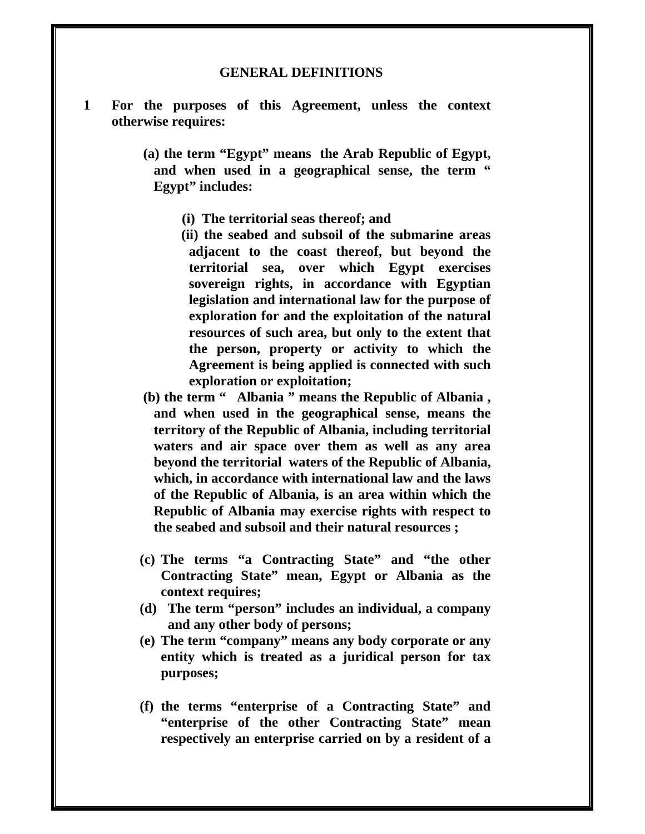#### **GENERAL DEFINITIONS**

- **1 For the purposes of this Agreement, unless the context otherwise requires:** 
	- **(a) the term "Egypt" means the Arab Republic of Egypt,**  and when used in a geographical sense, the term " Egypt" includes:
		- **(i) The territorial seas thereof; and**
		- **(ii) the seabed and subsoil of the submarine areas adjacent to the coast thereof, but beyond the territorial sea, over which Egypt exercises sovereign rights, in accordance with Egyptian legislation and international law for the purpose of exploration for and the exploitation of the natural resources of such area, but only to the extent that the person, property or activity to which the Agreement is being applied is connected with such exploration or exploitation;**
	- **(b) the term " Albania " means the Republic of Albania , and when used in the geographical sense, means the territory of the Republic of Albania, including territorial waters and air space over them as well as any area beyond the territorial waters of the Republic of Albania, which, in accordance with international law and the laws of the Republic of Albania, is an area within which the Republic of Albania may exercise rights with respect to the seabed and subsoil and their natural resources ;**
	- **(c) The terms "a Contracting State" and "the other Contracting State" mean, Egypt or Albania as the context requires;**
	- **(d) The term "person" includes an individual, a company and any other body of persons;**
	- **(e) The term "company" means any body corporate or any entity which is treated as a juridical person for tax purposes;**
	- **(f) the terms "enterprise of a Contracting State" and "enterprise of the other Contracting State" mean respectively an enterprise carried on by a resident of a**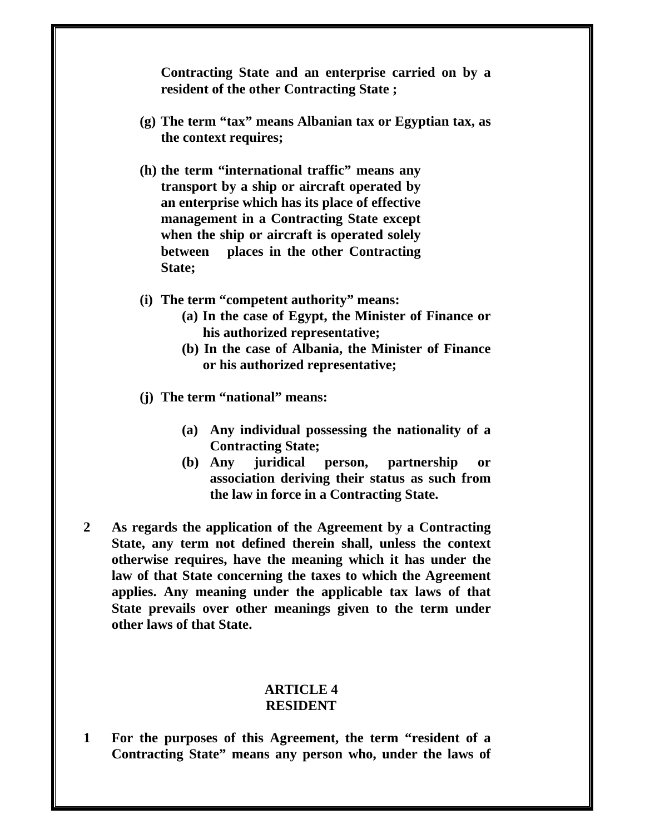**Contracting State and an enterprise carried on by a resident of the other Contracting State ;** 

- **(g) The term "tax" means Albanian tax or Egyptian tax, as the context requires;**
- **(h) the term "international traffic" means any transport by a ship or aircraft operated by an enterprise which has its place of effective management in a Contracting State except when the ship or aircraft is operated solely between places in the other Contracting State;**
- **(i) The term "competent authority" means:** 
	- **(a) In the case of Egypt, the Minister of Finance or his authorized representative;**
	- **(b) In the case of Albania, the Minister of Finance or his authorized representative;**
- **(j) The term "national" means:** 
	- **(a) Any individual possessing the nationality of a Contracting State;**
	- **(b) Any juridical person, partnership or association deriving their status as such from the law in force in a Contracting State.**
- **2 As regards the application of the Agreement by a Contracting State, any term not defined therein shall, unless the context otherwise requires, have the meaning which it has under the law of that State concerning the taxes to which the Agreement applies. Any meaning under the applicable tax laws of that State prevails over other meanings given to the term under other laws of that State.**

#### **ARTICLE 4 RESIDENT**

**1 For the purposes of this Agreement, the term "resident of a Contracting State" means any person who, under the laws of**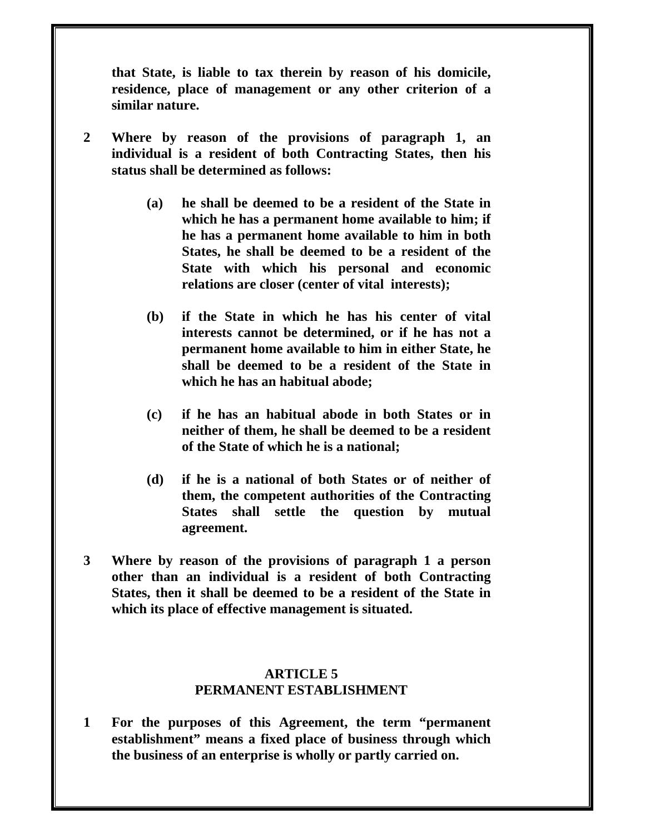**that State, is liable to tax therein by reason of his domicile, residence, place of management or any other criterion of a similar nature.** 

- **2 Where by reason of the provisions of paragraph 1, an individual is a resident of both Contracting States, then his status shall be determined as follows:** 
	- **(a) he shall be deemed to be a resident of the State in which he has a permanent home available to him; if he has a permanent home available to him in both States, he shall be deemed to be a resident of the State with which his personal and economic relations are closer (center of vital interests);**
	- **(b) if the State in which he has his center of vital interests cannot be determined, or if he has not a permanent home available to him in either State, he shall be deemed to be a resident of the State in which he has an habitual abode;**
	- **(c) if he has an habitual abode in both States or in neither of them, he shall be deemed to be a resident of the State of which he is a national;**
	- **(d) if he is a national of both States or of neither of them, the competent authorities of the Contracting States shall settle the question by mutual agreement.**
- **3 Where by reason of the provisions of paragraph 1 a person other than an individual is a resident of both Contracting States, then it shall be deemed to be a resident of the State in which its place of effective management is situated.**

## **ARTICLE 5 PERMANENT ESTABLISHMENT**

**1 For the purposes of this Agreement, the term "permanent establishment" means a fixed place of business through which the business of an enterprise is wholly or partly carried on.**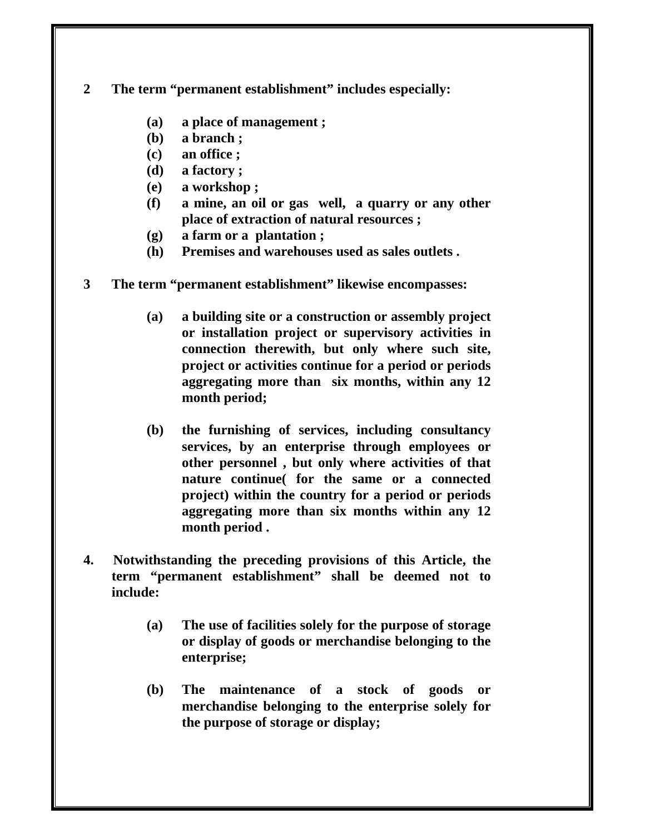## **2 The term "permanent establishment" includes especially:**

- **(a) a place of management ;**
- **(b) a branch ;**
- **(c) an office ;**
- **(d) a factory ;**
- **(e) a workshop ;**
- **(f) a mine, an oil or gas well, a quarry or any other place of extraction of natural resources ;**
- **(g) a farm or a plantation ;**
- **(h) Premises and warehouses used as sales outlets .**
- **3 The term "permanent establishment" likewise encompasses:** 
	- **(a) a building site or a construction or assembly project or installation project or supervisory activities in connection therewith, but only where such site, project or activities continue for a period or periods aggregating more than six months, within any 12 month period;**
	- **(b) the furnishing of services, including consultancy services, by an enterprise through employees or other personnel , but only where activities of that nature continue( for the same or a connected project) within the country for a period or periods aggregating more than six months within any 12 month period .**
- **4. Notwithstanding the preceding provisions of this Article, the term "permanent establishment" shall be deemed not to include:** 
	- **(a) The use of facilities solely for the purpose of storage or display of goods or merchandise belonging to the enterprise;**
	- **(b) The maintenance of a stock of goods or merchandise belonging to the enterprise solely for the purpose of storage or display;**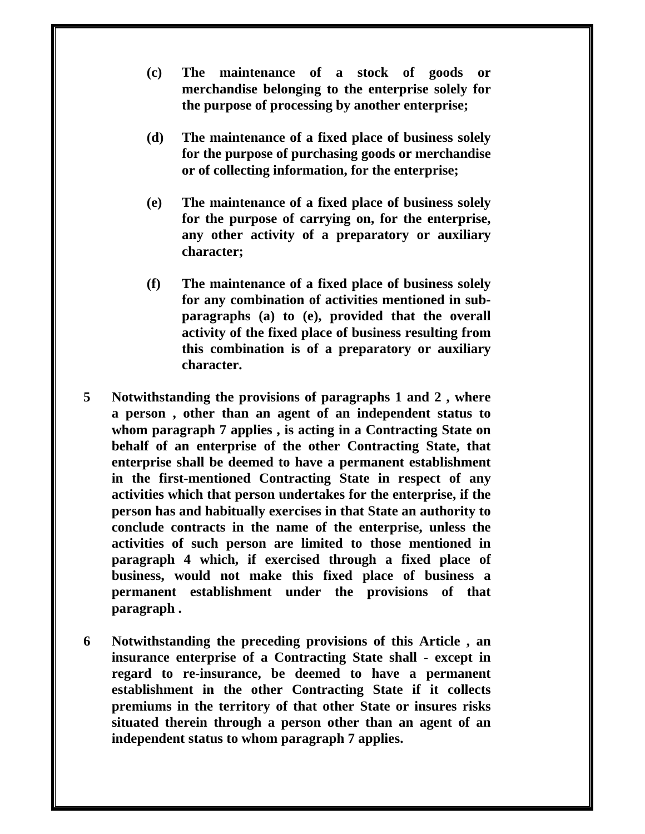- **(c) The maintenance of a stock of goods or merchandise belonging to the enterprise solely for the purpose of processing by another enterprise;**
- **(d) The maintenance of a fixed place of business solely for the purpose of purchasing goods or merchandise or of collecting information, for the enterprise;**
- **(e) The maintenance of a fixed place of business solely for the purpose of carrying on, for the enterprise, any other activity of a preparatory or auxiliary character;**
- **(f) The maintenance of a fixed place of business solely for any combination of activities mentioned in subparagraphs (a) to (e), provided that the overall activity of the fixed place of business resulting from this combination is of a preparatory or auxiliary character.**
- **5 Notwithstanding the provisions of paragraphs 1 and 2 , where a person , other than an agent of an independent status to whom paragraph 7 applies , is acting in a Contracting State on behalf of an enterprise of the other Contracting State, that enterprise shall be deemed to have a permanent establishment in the first-mentioned Contracting State in respect of any activities which that person undertakes for the enterprise, if the person has and habitually exercises in that State an authority to conclude contracts in the name of the enterprise, unless the activities of such person are limited to those mentioned in paragraph 4 which, if exercised through a fixed place of business, would not make this fixed place of business a permanent establishment under the provisions of that paragraph .**
- **6 Notwithstanding the preceding provisions of this Article , an insurance enterprise of a Contracting State shall - except in regard to re-insurance, be deemed to have a permanent establishment in the other Contracting State if it collects premiums in the territory of that other State or insures risks situated therein through a person other than an agent of an independent status to whom paragraph 7 applies.**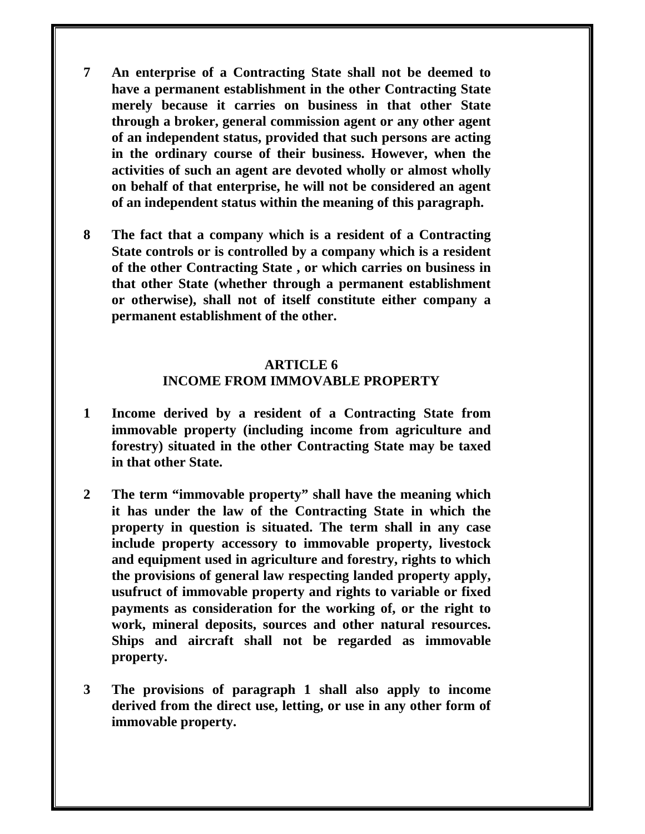- **7 An enterprise of a Contracting State shall not be deemed to have a permanent establishment in the other Contracting State merely because it carries on business in that other State through a broker, general commission agent or any other agent of an independent status, provided that such persons are acting in the ordinary course of their business. However, when the activities of such an agent are devoted wholly or almost wholly on behalf of that enterprise, he will not be considered an agent of an independent status within the meaning of this paragraph.**
- **8 The fact that a company which is a resident of a Contracting State controls or is controlled by a company which is a resident of the other Contracting State , or which carries on business in that other State (whether through a permanent establishment or otherwise), shall not of itself constitute either company a permanent establishment of the other.**

# **ARTICLE 6 INCOME FROM IMMOVABLE PROPERTY**

- **1 Income derived by a resident of a Contracting State from immovable property (including income from agriculture and forestry) situated in the other Contracting State may be taxed in that other State.**
- **2 The term "immovable property" shall have the meaning which it has under the law of the Contracting State in which the property in question is situated. The term shall in any case include property accessory to immovable property, livestock and equipment used in agriculture and forestry, rights to which the provisions of general law respecting landed property apply, usufruct of immovable property and rights to variable or fixed payments as consideration for the working of, or the right to work, mineral deposits, sources and other natural resources. Ships and aircraft shall not be regarded as immovable property.**
- **3 The provisions of paragraph 1 shall also apply to income derived from the direct use, letting, or use in any other form of immovable property.**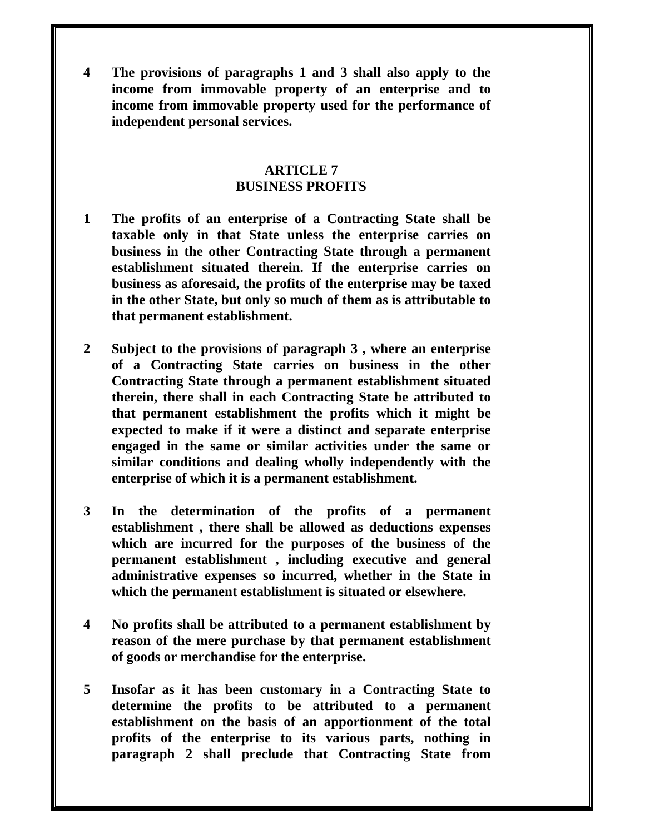**4 The provisions of paragraphs 1 and 3 shall also apply to the income from immovable property of an enterprise and to income from immovable property used for the performance of independent personal services.** 

# **ARTICLE 7 BUSINESS PROFITS**

- **1 The profits of an enterprise of a Contracting State shall be taxable only in that State unless the enterprise carries on business in the other Contracting State through a permanent establishment situated therein. If the enterprise carries on business as aforesaid, the profits of the enterprise may be taxed in the other State, but only so much of them as is attributable to that permanent establishment.**
- **2 Subject to the provisions of paragraph 3 , where an enterprise of a Contracting State carries on business in the other Contracting State through a permanent establishment situated therein, there shall in each Contracting State be attributed to that permanent establishment the profits which it might be expected to make if it were a distinct and separate enterprise engaged in the same or similar activities under the same or similar conditions and dealing wholly independently with the enterprise of which it is a permanent establishment.**
- **3 In the determination of the profits of a permanent establishment , there shall be allowed as deductions expenses which are incurred for the purposes of the business of the permanent establishment , including executive and general administrative expenses so incurred, whether in the State in which the permanent establishment is situated or elsewhere.**
- **4 No profits shall be attributed to a permanent establishment by reason of the mere purchase by that permanent establishment of goods or merchandise for the enterprise.**
- **5 Insofar as it has been customary in a Contracting State to determine the profits to be attributed to a permanent establishment on the basis of an apportionment of the total profits of the enterprise to its various parts, nothing in paragraph 2 shall preclude that Contracting State from**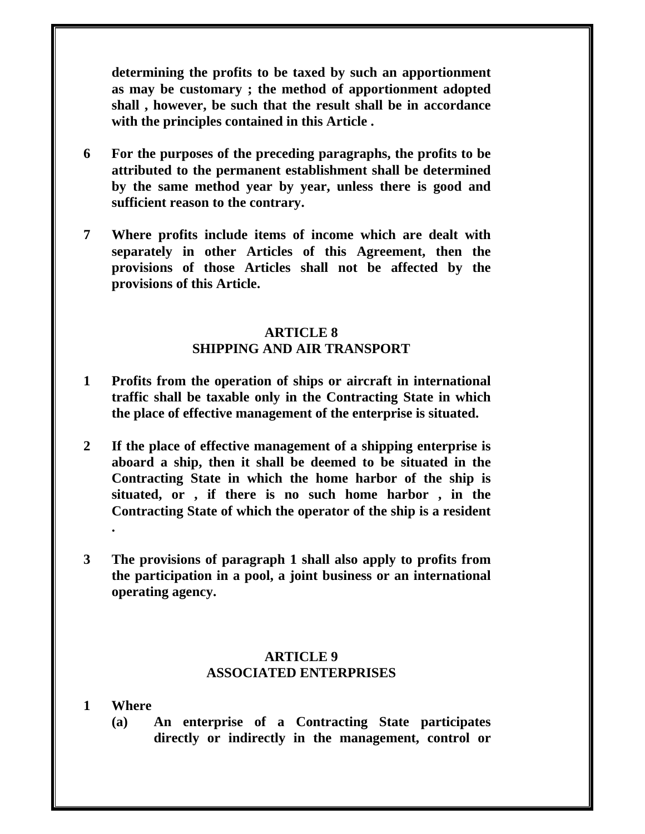**determining the profits to be taxed by such an apportionment as may be customary ; the method of apportionment adopted shall , however, be such that the result shall be in accordance with the principles contained in this Article .** 

- **6 For the purposes of the preceding paragraphs, the profits to be attributed to the permanent establishment shall be determined by the same method year by year, unless there is good and sufficient reason to the contrary.**
- **7 Where profits include items of income which are dealt with separately in other Articles of this Agreement, then the provisions of those Articles shall not be affected by the provisions of this Article.**

## **ARTICLE 8 SHIPPING AND AIR TRANSPORT**

- **1 Profits from the operation of ships or aircraft in international traffic shall be taxable only in the Contracting State in which the place of effective management of the enterprise is situated.**
- **2 If the place of effective management of a shipping enterprise is aboard a ship, then it shall be deemed to be situated in the Contracting State in which the home harbor of the ship is situated, or , if there is no such home harbor , in the Contracting State of which the operator of the ship is a resident .**
- **3 The provisions of paragraph 1 shall also apply to profits from the participation in a pool, a joint business or an international operating agency.**

#### **ARTICLE 9 ASSOCIATED ENTERPRISES**

- **1 Where** 
	- **(a) An enterprise of a Contracting State participates directly or indirectly in the management, control or**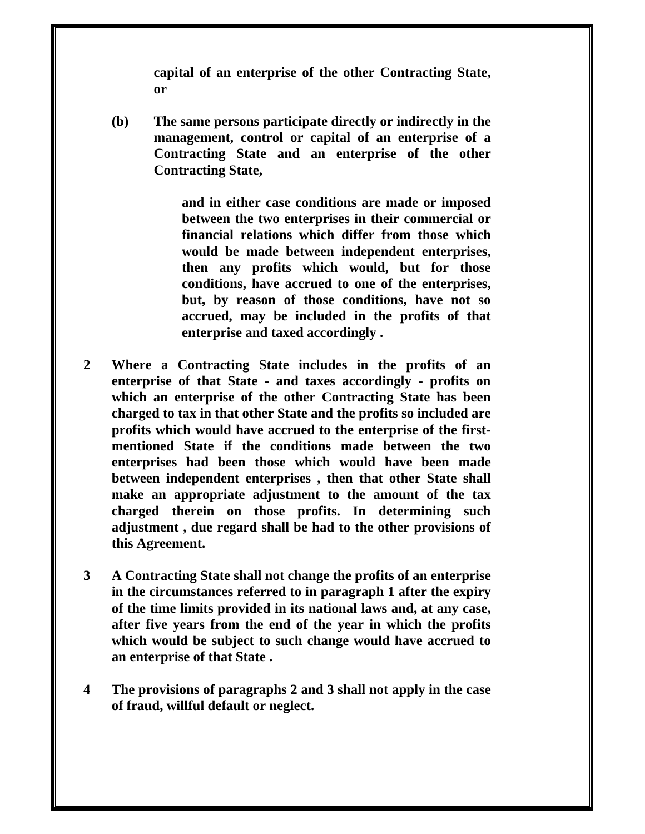**capital of an enterprise of the other Contracting State, or** 

**(b) The same persons participate directly or indirectly in the management, control or capital of an enterprise of a Contracting State and an enterprise of the other Contracting State,** 

> **and in either case conditions are made or imposed between the two enterprises in their commercial or financial relations which differ from those which would be made between independent enterprises, then any profits which would, but for those conditions, have accrued to one of the enterprises, but, by reason of those conditions, have not so accrued, may be included in the profits of that enterprise and taxed accordingly .**

- **2 Where a Contracting State includes in the profits of an enterprise of that State - and taxes accordingly - profits on which an enterprise of the other Contracting State has been charged to tax in that other State and the profits so included are profits which would have accrued to the enterprise of the firstmentioned State if the conditions made between the two enterprises had been those which would have been made between independent enterprises , then that other State shall make an appropriate adjustment to the amount of the tax charged therein on those profits. In determining such adjustment , due regard shall be had to the other provisions of this Agreement.**
- **3 A Contracting State shall not change the profits of an enterprise in the circumstances referred to in paragraph 1 after the expiry of the time limits provided in its national laws and, at any case, after five years from the end of the year in which the profits which would be subject to such change would have accrued to an enterprise of that State .**
- **4 The provisions of paragraphs 2 and 3 shall not apply in the case of fraud, willful default or neglect.**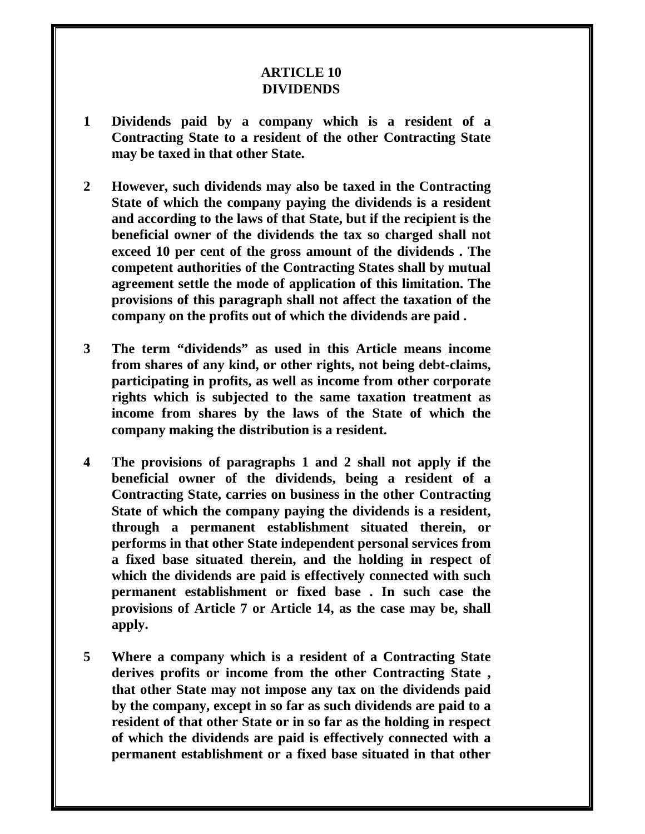## **ARTICLE 10 DIVIDENDS**

- **1 Dividends paid by a company which is a resident of a Contracting State to a resident of the other Contracting State may be taxed in that other State.**
- **2 However, such dividends may also be taxed in the Contracting State of which the company paying the dividends is a resident and according to the laws of that State, but if the recipient is the beneficial owner of the dividends the tax so charged shall not exceed 10 per cent of the gross amount of the dividends . The competent authorities of the Contracting States shall by mutual agreement settle the mode of application of this limitation. The provisions of this paragraph shall not affect the taxation of the company on the profits out of which the dividends are paid .**
- **3 The term "dividends" as used in this Article means income from shares of any kind, or other rights, not being debt-claims, participating in profits, as well as income from other corporate rights which is subjected to the same taxation treatment as income from shares by the laws of the State of which the company making the distribution is a resident.**
- **4 The provisions of paragraphs 1 and 2 shall not apply if the beneficial owner of the dividends, being a resident of a Contracting State, carries on business in the other Contracting State of which the company paying the dividends is a resident, through a permanent establishment situated therein, or performs in that other State independent personal services from a fixed base situated therein, and the holding in respect of which the dividends are paid is effectively connected with such permanent establishment or fixed base . In such case the provisions of Article 7 or Article 14, as the case may be, shall apply.**
- **5 Where a company which is a resident of a Contracting State derives profits or income from the other Contracting State , that other State may not impose any tax on the dividends paid by the company, except in so far as such dividends are paid to a resident of that other State or in so far as the holding in respect of which the dividends are paid is effectively connected with a permanent establishment or a fixed base situated in that other**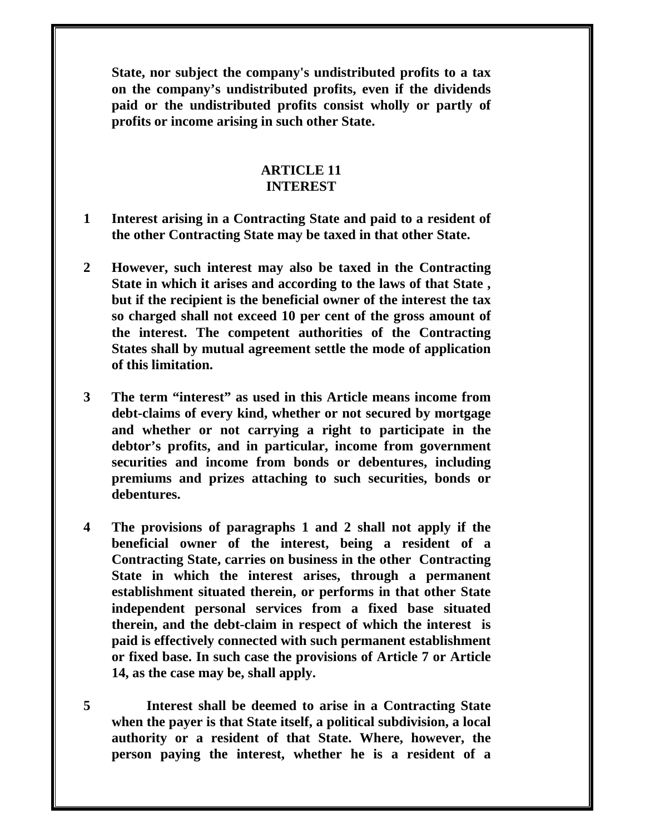**State, nor subject the company's undistributed profits to a tax on the company's undistributed profits, even if the dividends paid or the undistributed profits consist wholly or partly of profits or income arising in such other State.** 

# **ARTICLE 11 INTEREST**

- **1 Interest arising in a Contracting State and paid to a resident of the other Contracting State may be taxed in that other State.**
- **2 However, such interest may also be taxed in the Contracting State in which it arises and according to the laws of that State , but if the recipient is the beneficial owner of the interest the tax so charged shall not exceed 10 per cent of the gross amount of the interest. The competent authorities of the Contracting States shall by mutual agreement settle the mode of application of this limitation.**
- **3 The term "interest" as used in this Article means income from debt-claims of every kind, whether or not secured by mortgage and whether or not carrying a right to participate in the debtor's profits, and in particular, income from government securities and income from bonds or debentures, including premiums and prizes attaching to such securities, bonds or debentures.**
- **4 The provisions of paragraphs 1 and 2 shall not apply if the beneficial owner of the interest, being a resident of a Contracting State, carries on business in the other Contracting State in which the interest arises, through a permanent establishment situated therein, or performs in that other State independent personal services from a fixed base situated therein, and the debt-claim in respect of which the interest is paid is effectively connected with such permanent establishment or fixed base. In such case the provisions of Article 7 or Article 14, as the case may be, shall apply.**
- **5 Interest shall be deemed to arise in a Contracting State when the payer is that State itself, a political subdivision, a local authority or a resident of that State. Where, however, the person paying the interest, whether he is a resident of a**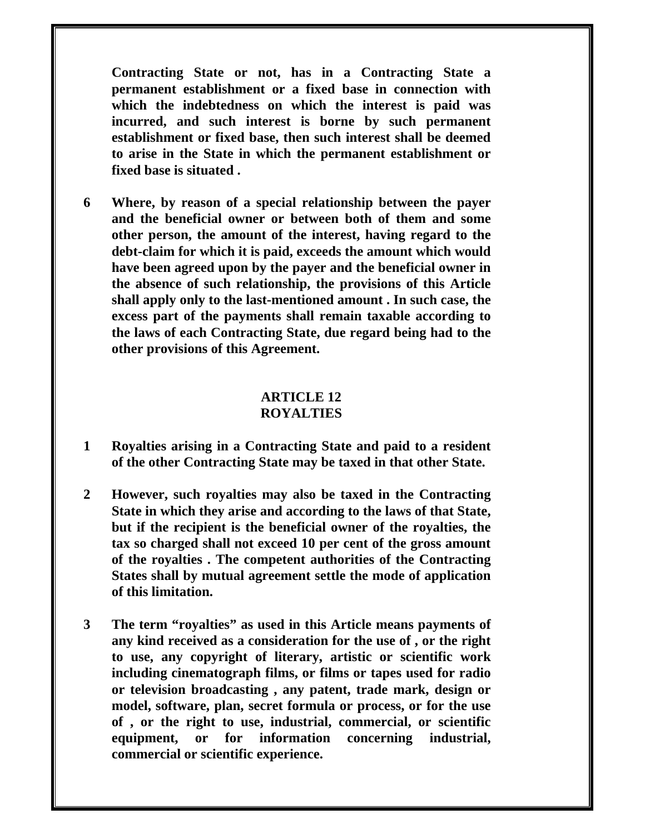**Contracting State or not, has in a Contracting State a permanent establishment or a fixed base in connection with which the indebtedness on which the interest is paid was incurred, and such interest is borne by such permanent establishment or fixed base, then such interest shall be deemed to arise in the State in which the permanent establishment or fixed base is situated .** 

**6 Where, by reason of a special relationship between the payer and the beneficial owner or between both of them and some other person, the amount of the interest, having regard to the debt-claim for which it is paid, exceeds the amount which would have been agreed upon by the payer and the beneficial owner in the absence of such relationship, the provisions of this Article shall apply only to the last-mentioned amount . In such case, the excess part of the payments shall remain taxable according to the laws of each Contracting State, due regard being had to the other provisions of this Agreement.** 

#### **ARTICLE 12 ROYALTIES**

- **1 Royalties arising in a Contracting State and paid to a resident of the other Contracting State may be taxed in that other State.**
- **2 However, such royalties may also be taxed in the Contracting State in which they arise and according to the laws of that State, but if the recipient is the beneficial owner of the royalties, the tax so charged shall not exceed 10 per cent of the gross amount of the royalties . The competent authorities of the Contracting States shall by mutual agreement settle the mode of application of this limitation.**
- **3 The term "royalties" as used in this Article means payments of any kind received as a consideration for the use of , or the right to use, any copyright of literary, artistic or scientific work including cinematograph films, or films or tapes used for radio or television broadcasting , any patent, trade mark, design or model, software, plan, secret formula or process, or for the use of , or the right to use, industrial, commercial, or scientific equipment, or for information concerning industrial, commercial or scientific experience.**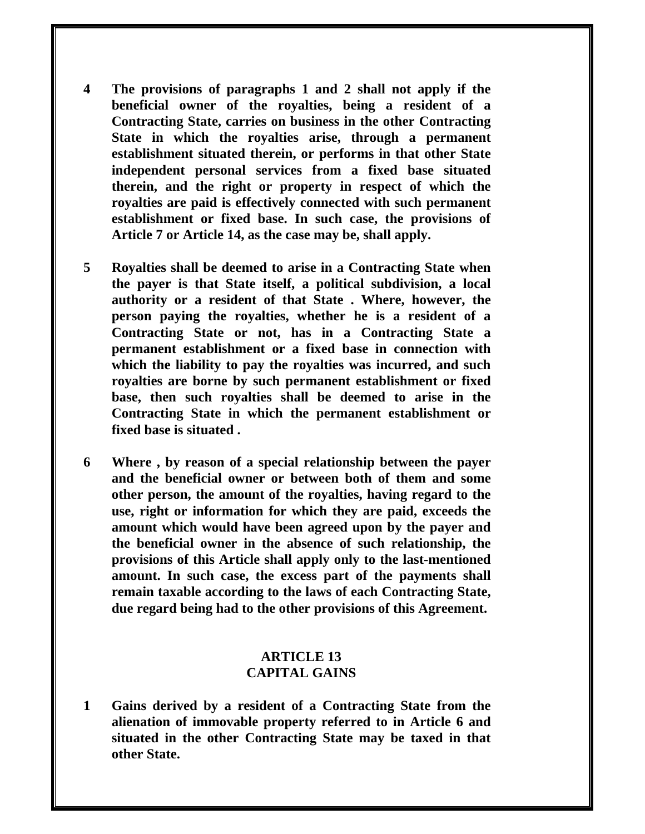- **4 The provisions of paragraphs 1 and 2 shall not apply if the beneficial owner of the royalties, being a resident of a Contracting State, carries on business in the other Contracting State in which the royalties arise, through a permanent establishment situated therein, or performs in that other State independent personal services from a fixed base situated therein, and the right or property in respect of which the royalties are paid is effectively connected with such permanent establishment or fixed base. In such case, the provisions of Article 7 or Article 14, as the case may be, shall apply.**
- **5 Royalties shall be deemed to arise in a Contracting State when the payer is that State itself, a political subdivision, a local authority or a resident of that State . Where, however, the person paying the royalties, whether he is a resident of a Contracting State or not, has in a Contracting State a permanent establishment or a fixed base in connection with which the liability to pay the royalties was incurred, and such royalties are borne by such permanent establishment or fixed base, then such royalties shall be deemed to arise in the Contracting State in which the permanent establishment or fixed base is situated .**
- **6 Where , by reason of a special relationship between the payer and the beneficial owner or between both of them and some other person, the amount of the royalties, having regard to the use, right or information for which they are paid, exceeds the amount which would have been agreed upon by the payer and the beneficial owner in the absence of such relationship, the provisions of this Article shall apply only to the last-mentioned amount. In such case, the excess part of the payments shall remain taxable according to the laws of each Contracting State, due regard being had to the other provisions of this Agreement.**

## **ARTICLE 13 CAPITAL GAINS**

**1 Gains derived by a resident of a Contracting State from the alienation of immovable property referred to in Article 6 and situated in the other Contracting State may be taxed in that other State.**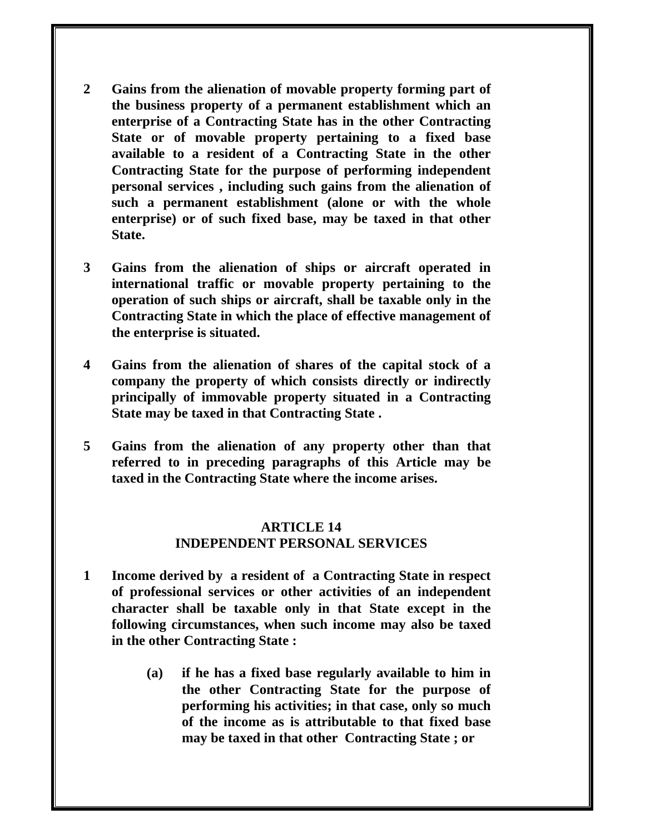- **2 Gains from the alienation of movable property forming part of the business property of a permanent establishment which an enterprise of a Contracting State has in the other Contracting State or of movable property pertaining to a fixed base available to a resident of a Contracting State in the other Contracting State for the purpose of performing independent personal services , including such gains from the alienation of such a permanent establishment (alone or with the whole enterprise) or of such fixed base, may be taxed in that other State.**
- **3 Gains from the alienation of ships or aircraft operated in international traffic or movable property pertaining to the operation of such ships or aircraft, shall be taxable only in the Contracting State in which the place of effective management of the enterprise is situated.**
- **4 Gains from the alienation of shares of the capital stock of a company the property of which consists directly or indirectly principally of immovable property situated in a Contracting State may be taxed in that Contracting State .**
- **5 Gains from the alienation of any property other than that referred to in preceding paragraphs of this Article may be taxed in the Contracting State where the income arises.**

## **ARTICLE 14 INDEPENDENT PERSONAL SERVICES**

- **1 Income derived by a resident of a Contracting State in respect of professional services or other activities of an independent character shall be taxable only in that State except in the following circumstances, when such income may also be taxed in the other Contracting State :** 
	- **(a) if he has a fixed base regularly available to him in the other Contracting State for the purpose of performing his activities; in that case, only so much of the income as is attributable to that fixed base may be taxed in that other Contracting State ; or**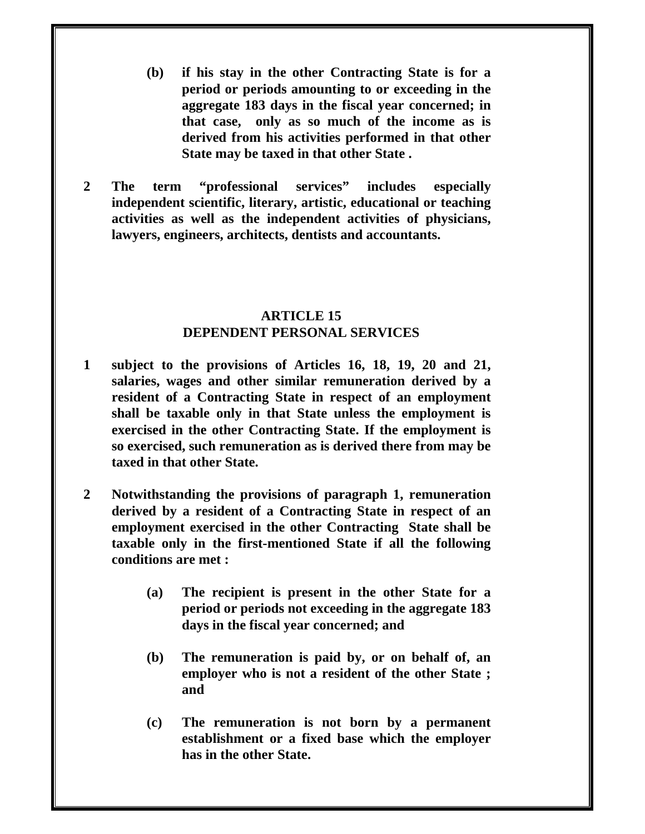- **(b) if his stay in the other Contracting State is for a period or periods amounting to or exceeding in the aggregate 183 days in the fiscal year concerned; in that case, only as so much of the income as is derived from his activities performed in that other State may be taxed in that other State .**
- **2 The term "professional services" includes especially independent scientific, literary, artistic, educational or teaching activities as well as the independent activities of physicians, lawyers, engineers, architects, dentists and accountants.**

## **ARTICLE 15 DEPENDENT PERSONAL SERVICES**

- **1 subject to the provisions of Articles 16, 18, 19, 20 and 21, salaries, wages and other similar remuneration derived by a resident of a Contracting State in respect of an employment shall be taxable only in that State unless the employment is exercised in the other Contracting State. If the employment is so exercised, such remuneration as is derived there from may be taxed in that other State.**
- **2 Notwithstanding the provisions of paragraph 1, remuneration derived by a resident of a Contracting State in respect of an employment exercised in the other Contracting State shall be taxable only in the first-mentioned State if all the following conditions are met :** 
	- **(a) The recipient is present in the other State for a period or periods not exceeding in the aggregate 183 days in the fiscal year concerned; and**
	- **(b) The remuneration is paid by, or on behalf of, an employer who is not a resident of the other State ; and**
	- **(c) The remuneration is not born by a permanent establishment or a fixed base which the employer has in the other State.**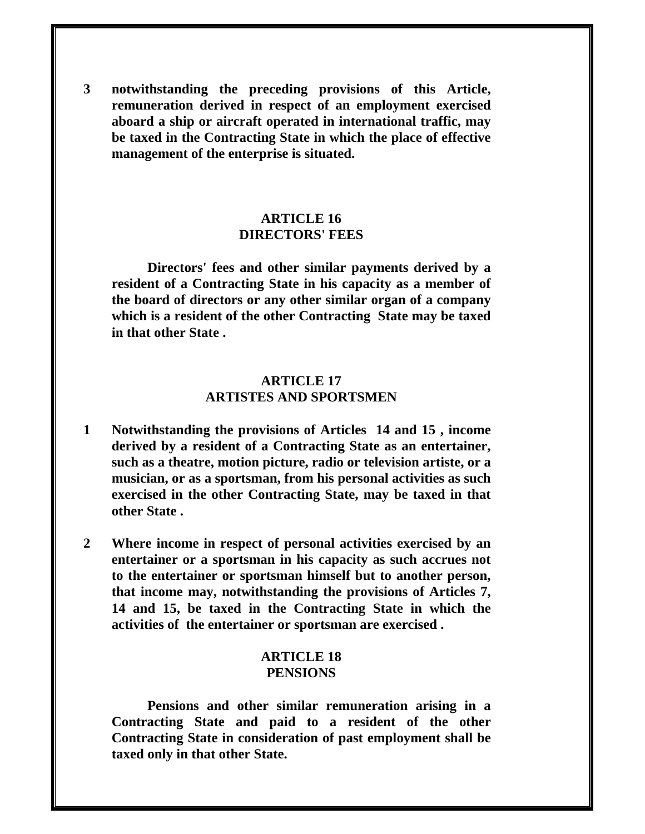**3 notwithstanding the preceding provisions of this Article, remuneration derived in respect of an employment exercised aboard a ship or aircraft operated in international traffic, may be taxed in the Contracting State in which the place of effective management of the enterprise is situated.** 

## **ARTICLE 16 DIRECTORS' FEES**

**Directors' fees and other similar payments derived by a resident of a Contracting State in his capacity as a member of the board of directors or any other similar organ of a company which is a resident of the other Contracting State may be taxed in that other State .** 

#### **ARTICLE 17 ARTISTES AND SPORTSMEN**

- **1 Notwithstanding the provisions of Articles 14 and 15 , income derived by a resident of a Contracting State as an entertainer, such as a theatre, motion picture, radio or television artiste, or a musician, or as a sportsman, from his personal activities as such exercised in the other Contracting State, may be taxed in that other State .**
- **2 Where income in respect of personal activities exercised by an entertainer or a sportsman in his capacity as such accrues not to the entertainer or sportsman himself but to another person, that income may, notwithstanding the provisions of Articles 7, 14 and 15, be taxed in the Contracting State in which the activities of the entertainer or sportsman are exercised .**

#### **ARTICLE 18 PENSIONS**

**Pensions and other similar remuneration arising in a Contracting State and paid to a resident of the other Contracting State in consideration of past employment shall be taxed only in that other State.**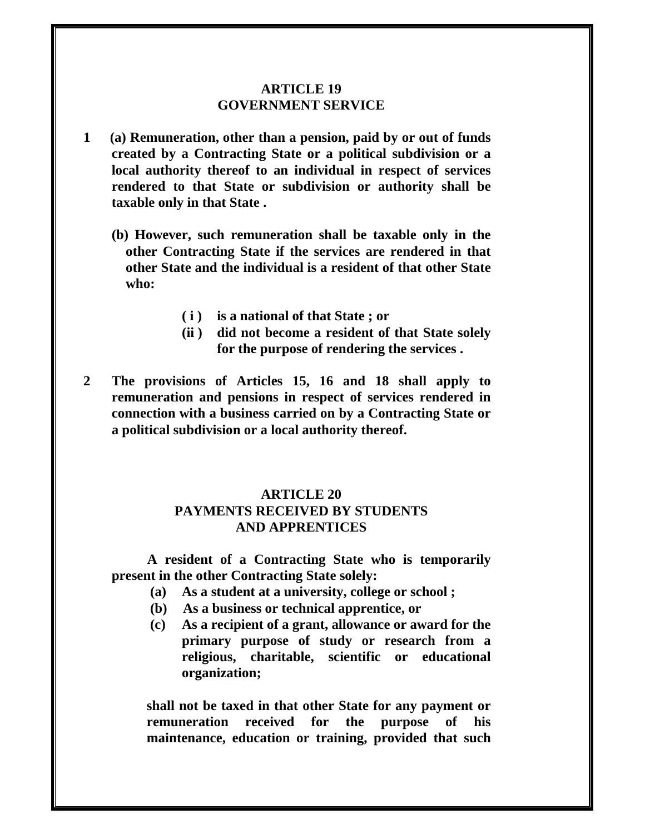## **ARTICLE 19 GOVERNMENT SERVICE**

- **1 (a) Remuneration, other than a pension, paid by or out of funds created by a Contracting State or a political subdivision or a local authority thereof to an individual in respect of services rendered to that State or subdivision or authority shall be taxable only in that State .** 
	- **(b) However, such remuneration shall be taxable only in the other Contracting State if the services are rendered in that other State and the individual is a resident of that other State who:** 
		- **( i ) is a national of that State ; or**
		- **(ii ) did not become a resident of that State solely for the purpose of rendering the services .**
- **2 The provisions of Articles 15, 16 and 18 shall apply to remuneration and pensions in respect of services rendered in connection with a business carried on by a Contracting State or a political subdivision or a local authority thereof.**

# **ARTICLE 20 PAYMENTS RECEIVED BY STUDENTS AND APPRENTICES**

 **A resident of a Contracting State who is temporarily present in the other Contracting State solely:** 

- **(a) As a student at a university, college or school ;**
- **(b) As a business or technical apprentice, or**
- **(c) As a recipient of a grant, allowance or award for the primary purpose of study or research from a religious, charitable, scientific or educational organization;**

**shall not be taxed in that other State for any payment or remuneration received for the purpose of his maintenance, education or training, provided that such**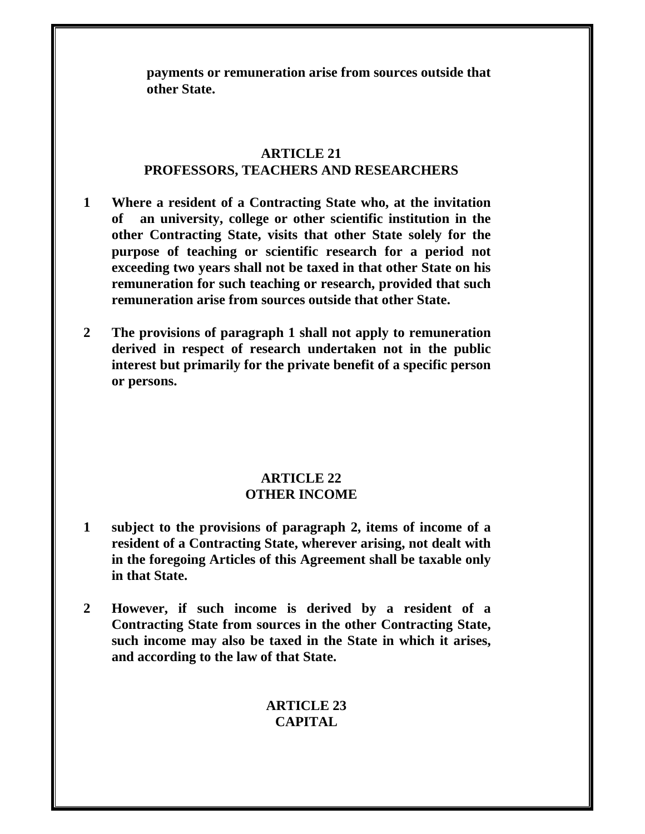**payments or remuneration arise from sources outside that other State.** 

## **ARTICLE 21 PROFESSORS, TEACHERS AND RESEARCHERS**

- **1 Where a resident of a Contracting State who, at the invitation of an university, college or other scientific institution in the other Contracting State, visits that other State solely for the purpose of teaching or scientific research for a period not exceeding two years shall not be taxed in that other State on his remuneration for such teaching or research, provided that such remuneration arise from sources outside that other State.**
- **2 The provisions of paragraph 1 shall not apply to remuneration derived in respect of research undertaken not in the public interest but primarily for the private benefit of a specific person or persons.**

# **ARTICLE 22 OTHER INCOME**

- **1 subject to the provisions of paragraph 2, items of income of a resident of a Contracting State, wherever arising, not dealt with in the foregoing Articles of this Agreement shall be taxable only in that State.**
- **2 However, if such income is derived by a resident of a Contracting State from sources in the other Contracting State, such income may also be taxed in the State in which it arises, and according to the law of that State.**

# **ARTICLE 23 CAPITAL**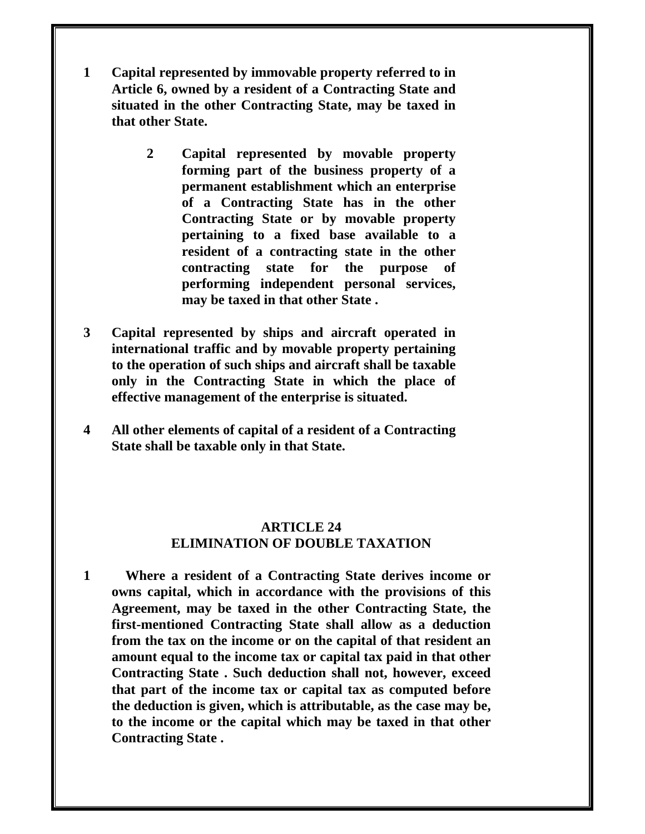- **1 Capital represented by immovable property referred to in Article 6, owned by a resident of a Contracting State and situated in the other Contracting State, may be taxed in that other State.** 
	- **2 Capital represented by movable property forming part of the business property of a permanent establishment which an enterprise of a Contracting State has in the other Contracting State or by movable property pertaining to a fixed base available to a resident of a contracting state in the other contracting state for the purpose of performing independent personal services, may be taxed in that other State .**
- **3 Capital represented by ships and aircraft operated in international traffic and by movable property pertaining to the operation of such ships and aircraft shall be taxable only in the Contracting State in which the place of effective management of the enterprise is situated.**
- **4 All other elements of capital of a resident of a Contracting State shall be taxable only in that State.**

## **ARTICLE 24 ELIMINATION OF DOUBLE TAXATION**

**1 Where a resident of a Contracting State derives income or owns capital, which in accordance with the provisions of this Agreement, may be taxed in the other Contracting State, the first-mentioned Contracting State shall allow as a deduction from the tax on the income or on the capital of that resident an amount equal to the income tax or capital tax paid in that other Contracting State . Such deduction shall not, however, exceed that part of the income tax or capital tax as computed before the deduction is given, which is attributable, as the case may be, to the income or the capital which may be taxed in that other Contracting State .**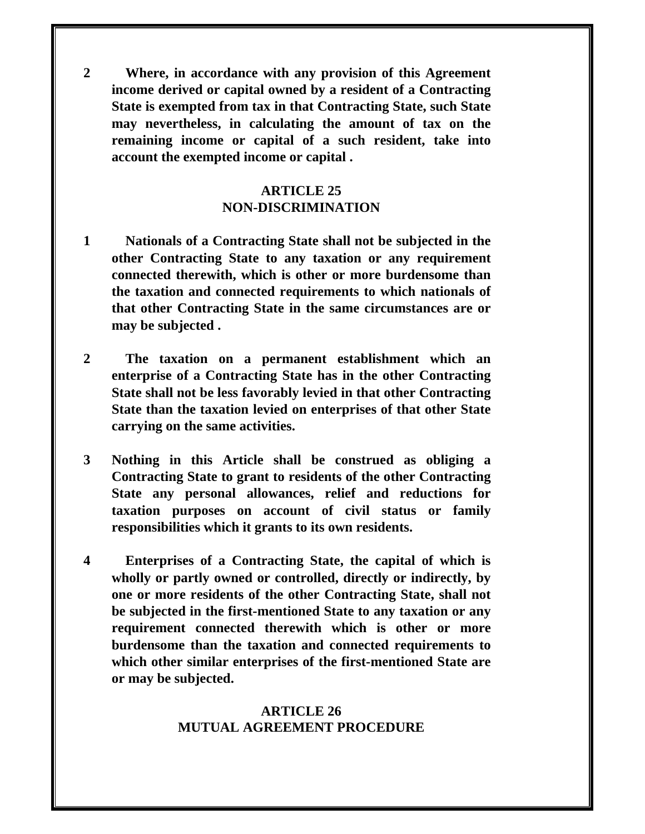**2 Where, in accordance with any provision of this Agreement income derived or capital owned by a resident of a Contracting State is exempted from tax in that Contracting State, such State may nevertheless, in calculating the amount of tax on the remaining income or capital of a such resident, take into account the exempted income or capital .** 

# **ARTICLE 25 NON-DISCRIMINATION**

- **1 Nationals of a Contracting State shall not be subjected in the other Contracting State to any taxation or any requirement connected therewith, which is other or more burdensome than the taxation and connected requirements to which nationals of that other Contracting State in the same circumstances are or may be subjected .**
- **2 The taxation on a permanent establishment which an enterprise of a Contracting State has in the other Contracting State shall not be less favorably levied in that other Contracting State than the taxation levied on enterprises of that other State carrying on the same activities.**
- **3 Nothing in this Article shall be construed as obliging a Contracting State to grant to residents of the other Contracting State any personal allowances, relief and reductions for taxation purposes on account of civil status or family responsibilities which it grants to its own residents.**
- **4 Enterprises of a Contracting State, the capital of which is wholly or partly owned or controlled, directly or indirectly, by one or more residents of the other Contracting State, shall not be subjected in the first-mentioned State to any taxation or any requirement connected therewith which is other or more burdensome than the taxation and connected requirements to which other similar enterprises of the first-mentioned State are or may be subjected.**

# **ARTICLE 26 MUTUAL AGREEMENT PROCEDURE**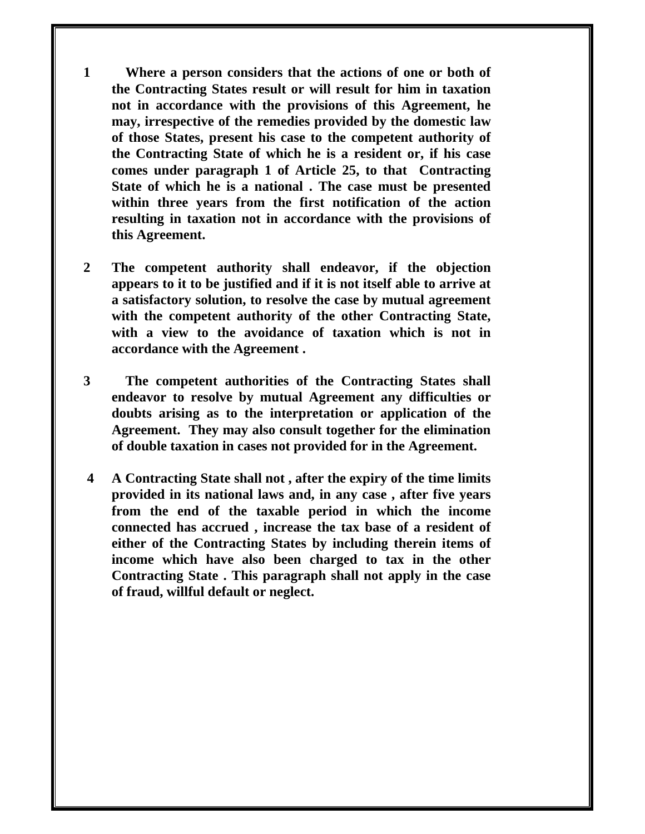- **1 Where a person considers that the actions of one or both of the Contracting States result or will result for him in taxation not in accordance with the provisions of this Agreement, he may, irrespective of the remedies provided by the domestic law of those States, present his case to the competent authority of the Contracting State of which he is a resident or, if his case comes under paragraph 1 of Article 25, to that Contracting State of which he is a national . The case must be presented within three years from the first notification of the action resulting in taxation not in accordance with the provisions of this Agreement.**
- **2 The competent authority shall endeavor, if the objection appears to it to be justified and if it is not itself able to arrive at a satisfactory solution, to resolve the case by mutual agreement with the competent authority of the other Contracting State, with a view to the avoidance of taxation which is not in accordance with the Agreement .**
- **3 The competent authorities of the Contracting States shall endeavor to resolve by mutual Agreement any difficulties or doubts arising as to the interpretation or application of the Agreement. They may also consult together for the elimination of double taxation in cases not provided for in the Agreement.**
- **4 A Contracting State shall not , after the expiry of the time limits provided in its national laws and, in any case , after five years from the end of the taxable period in which the income connected has accrued , increase the tax base of a resident of either of the Contracting States by including therein items of income which have also been charged to tax in the other Contracting State . This paragraph shall not apply in the case of fraud, willful default or neglect.**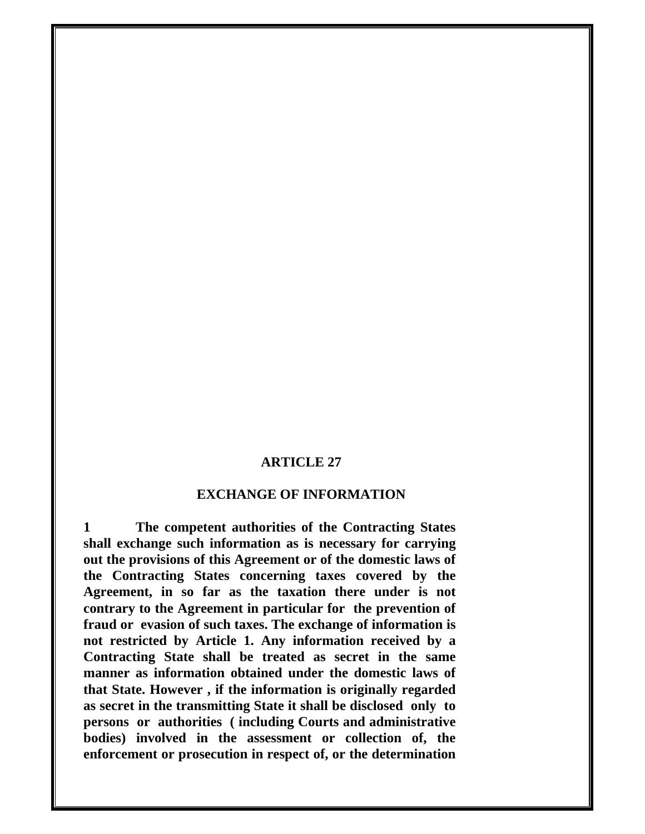#### **ARTICLE 27**

#### **EXCHANGE OF INFORMATION**

**1 The competent authorities of the Contracting States shall exchange such information as is necessary for carrying out the provisions of this Agreement or of the domestic laws of the Contracting States concerning taxes covered by the Agreement, in so far as the taxation there under is not contrary to the Agreement in particular for the prevention of fraud or evasion of such taxes. The exchange of information is not restricted by Article 1. Any information received by a Contracting State shall be treated as secret in the same manner as information obtained under the domestic laws of that State. However , if the information is originally regarded as secret in the transmitting State it shall be disclosed only to persons or authorities ( including Courts and administrative bodies) involved in the assessment or collection of, the enforcement or prosecution in respect of, or the determination**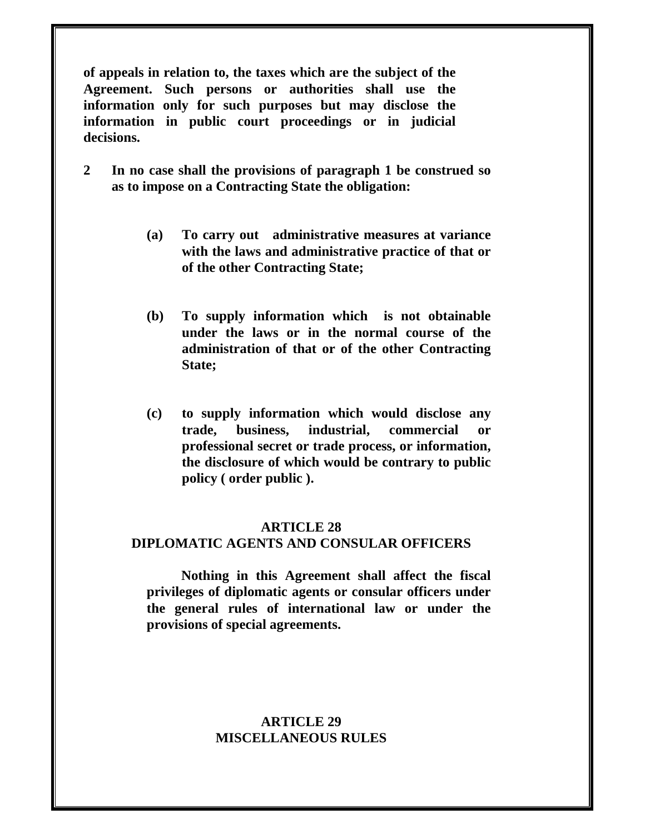**of appeals in relation to, the taxes which are the subject of the Agreement. Such persons or authorities shall use the information only for such purposes but may disclose the information in public court proceedings or in judicial decisions.** 

- **2 In no case shall the provisions of paragraph 1 be construed so as to impose on a Contracting State the obligation:** 
	- **(a) To carry out administrative measures at variance with the laws and administrative practice of that or of the other Contracting State;**
	- **(b) To supply information which is not obtainable under the laws or in the normal course of the administration of that or of the other Contracting State;**
	- **(c) to supply information which would disclose any trade, business, industrial, commercial or professional secret or trade process, or information, the disclosure of which would be contrary to public policy ( order public ).**

#### **ARTICLE 28**

#### **DIPLOMATIC AGENTS AND CONSULAR OFFICERS**

 **Nothing in this Agreement shall affect the fiscal privileges of diplomatic agents or consular officers under the general rules of international law or under the provisions of special agreements.** 

#### **ARTICLE 29 MISCELLANEOUS RULES**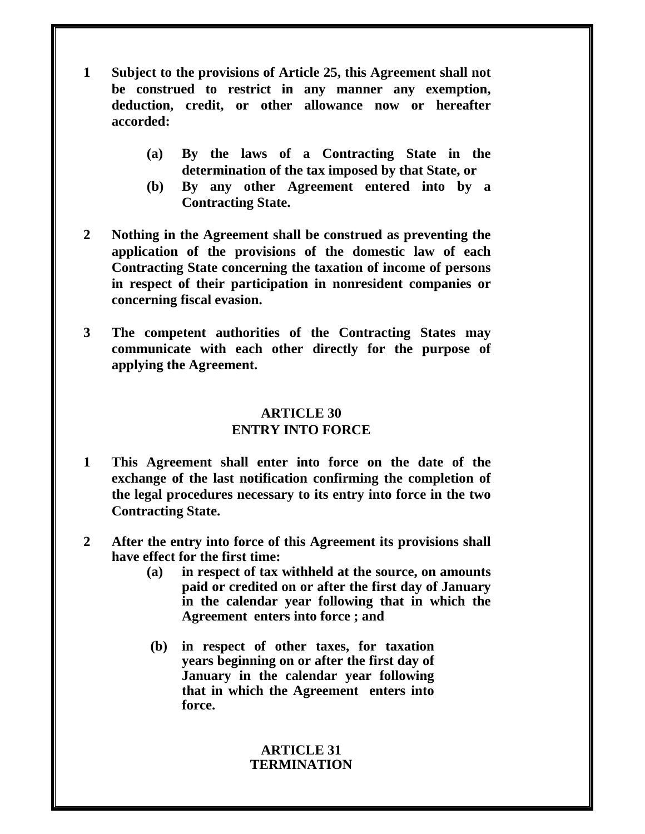- **1 Subject to the provisions of Article 25, this Agreement shall not be construed to restrict in any manner any exemption, deduction, credit, or other allowance now or hereafter accorded:** 
	- **(a) By the laws of a Contracting State in the determination of the tax imposed by that State, or**
	- **(b) By any other Agreement entered into by a Contracting State.**
- **2 Nothing in the Agreement shall be construed as preventing the application of the provisions of the domestic law of each Contracting State concerning the taxation of income of persons in respect of their participation in nonresident companies or concerning fiscal evasion.**
- **3 The competent authorities of the Contracting States may communicate with each other directly for the purpose of applying the Agreement.**

# **ARTICLE 30 ENTRY INTO FORCE**

- **1 This Agreement shall enter into force on the date of the exchange of the last notification confirming the completion of the legal procedures necessary to its entry into force in the two Contracting State.**
- **2 After the entry into force of this Agreement its provisions shall have effect for the first time:** 
	- **(a) in respect of tax withheld at the source, on amounts paid or credited on or after the first day of January in the calendar year following that in which the Agreement enters into force ; and**
	- **(b) in respect of other taxes, for taxation years beginning on or after the first day of January in the calendar year following that in which the Agreement enters into force.**

## **ARTICLE 31 TERMINATION**